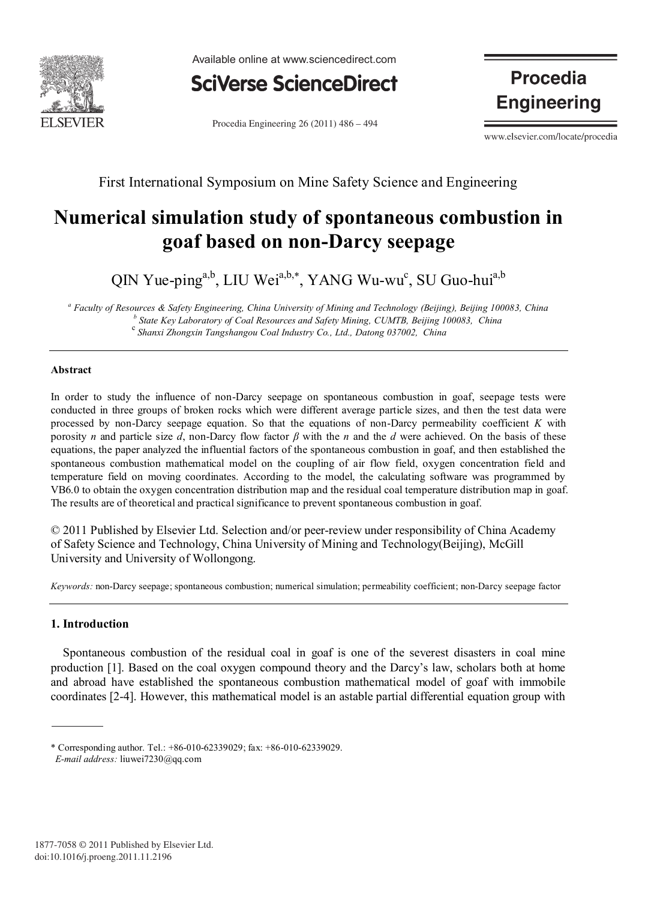

Available online at www.sciencedirect.com



Procedia Engineering  $26(2011)$   $486 - 494$ 

**Procedia Engineering** 

www.elsevier.com/locate/procedia

First International Symposium on Mine Safety Science and Engineering

# **Numerical simulation study of spontaneous combustion in goaf based on non-Darcy seepage**

QIN Yue-ping<sup>a,b</sup>, LIU Wei<sup>a,b,\*</sup>, YANG Wu-wu<sup>c</sup>, SU Guo-hui<sup>a,b</sup>

*a* Faculty of Resources & Safety Engineering, China University of Mining and Technology (Beijing), Beijing 100083, China<br>b State Key Laboratory of Coal Resources and Safety Mining, CUMTB, Beijing 100083, China<br>c Shanxi Z

### **Abstract**

In order to study the influence of non-Darcy seepage on spontaneous combustion in goaf, seepage tests were conducted in three groups of broken rocks which were different average particle sizes, and then the test data were processed by non-Darcy seepage equation. So that the equations of non-Darcy permeability coefficient *K* with porosity *n* and particle size *d*, non-Darcy flow factor  $\beta$  with the *n* and the *d* were achieved. On the basis of these equations, the paper analyzed the influential factors of the spontaneous combustion in goaf, and then established the spontaneous combustion mathematical model on the coupling of air flow field, oxygen concentration field and temperature field on moving coordinates. According to the model, the calculating software was programmed by VB6.0 to obtain the oxygen concentration distribution map and the residual coal temperature distribution map in goaf. The results are of theoretical and practical significance to prevent spontaneous combustion in goaf.

© 2011 Published by Elsevier Ltd. Selection and/or peer-review under responsibility of China Academy of Safety Science and Technology, China University of Mining and Technology(Beijing), McGill University and University of Wollongong.

*Keywords:* non-Darcy seepage; spontaneous combustion; numerical simulation; permeability coefficient; non-Darcy seepage factor

### **1. Introduction**

Spontaneous combustion of the residual coal in goaf is one of the severest disasters in coal mine production [1]. Based on the coal oxygen compound theory and the Darcy's law, scholars both at home and abroad have established the spontaneous combustion mathematical model of goaf with immobile coordinates [2-4]. However, this mathematical model is an astable partial differential equation group with

<sup>\*</sup> Corresponding author. Tel.: +86-010-62339029; fax: +86-010-62339029. *E-mail address:* liuwei7230@qq.com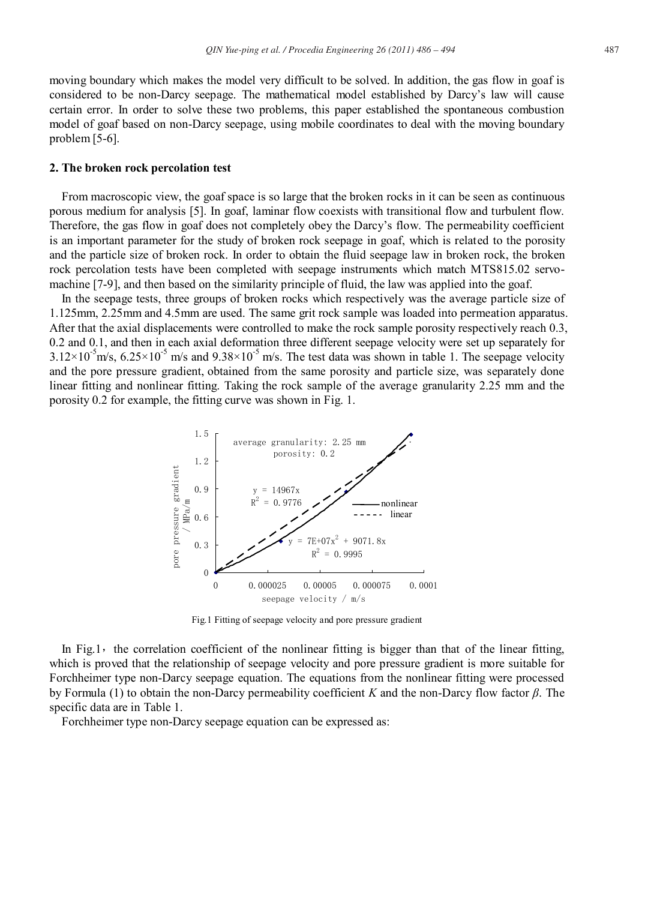moving boundary which makes the model very difficult to be solved. In addition, the gas flow in goaf is considered to be non-Darcy seepage. The mathematical model established by Darcy's law will cause certain error. In order to solve these two problems, this paper established the spontaneous combustion model of goaf based on non-Darcy seepage, using mobile coordinates to deal with the moving boundary problem [5-6].

#### **2. The broken rock percolation test**

From macroscopic view, the goaf space is so large that the broken rocks in it can be seen as continuous porous medium for analysis [5]. In goaf, laminar flow coexists with transitional flow and turbulent flow. Therefore, the gas flow in goaf does not completely obey the Darcy's flow. The permeability coefficient is an important parameter for the study of broken rock seepage in goaf, which is related to the porosity and the particle size of broken rock. In order to obtain the fluid seepage law in broken rock, the broken rock percolation tests have been completed with seepage instruments which match MTS815.02 servomachine [7-9], and then based on the similarity principle of fluid, the law was applied into the goaf.

In the seepage tests, three groups of broken rocks which respectively was the average particle size of 1.125mm, 2.25mm and 4.5mm are used. The same grit rock sample was loaded into permeation apparatus. After that the axial displacements were controlled to make the rock sample porosity respectively reach 0.3, 0.2 and 0.1, and then in each axial deformation three different seepage velocity were set up separately for  $3.12 \times 10^{-5}$  m/s,  $6.25 \times 10^{-5}$  m/s and  $9.38 \times 10^{-5}$  m/s. The test data was shown in table 1. The seepage velocity and the pore pressure gradient, obtained from the same porosity and particle size, was separately done linear fitting and nonlinear fitting. Taking the rock sample of the average granularity 2.25 mm and the porosity 0.2 for example, the fitting curve was shown in Fig. 1.



Fig.1 Fitting of seepage velocity and pore pressure gradient

In Fig.1, the correlation coefficient of the nonlinear fitting is bigger than that of the linear fitting, which is proved that the relationship of seepage velocity and pore pressure gradient is more suitable for Forchheimer type non-Darcy seepage equation. The equations from the nonlinear fitting were processed by Formula (1) to obtain the non-Darcy permeability coefficient *K* and the non-Darcy flow factor *β*. The specific data are in Table 1.

Forchheimer type non-Darcy seepage equation can be expressed as: